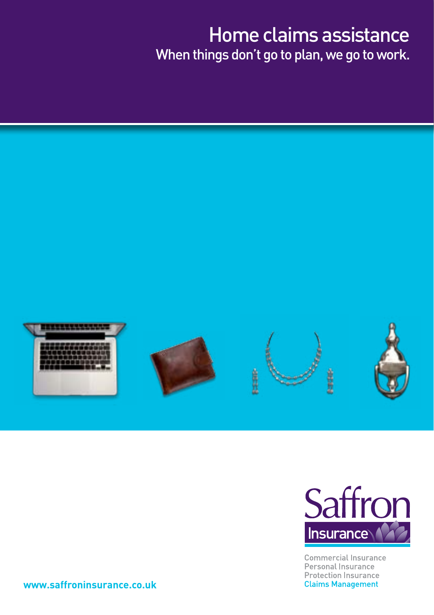## Home claims assistance When things don't go to plan, we go to work.





**Commercial Insurance** Personal Insurance **Protection Insurance Claims Management** 

**www.saffroninsurance.co.uk**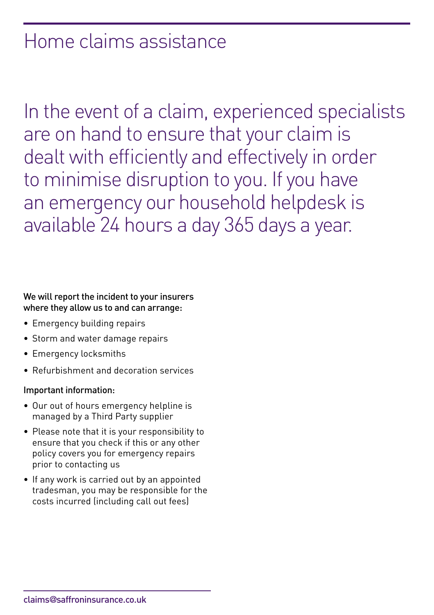## Home claims assistance

In the event of a claim, experienced specialists are on hand to ensure that your claim is dealt with efficiently and effectively in order to minimise disruption to you. If you have an emergency our household helpdesk is available 24 hours a day 365 days a year.

### We will report the incident to your insurers where they allow us to and can arrange:

- Emergency building repairs
- Storm and water damage repairs
- • Emergency locksmiths
- Refurbishment and decoration services

#### Important information:

- Our out of hours emergency helpline is managed by a Third Party supplier
- Please note that it is your responsibility to ensure that you check if this or any other policy covers you for emergency repairs prior to contacting us
- If any work is carried out by an appointed tradesman, you may be responsible for the costs incurred (including call out fees)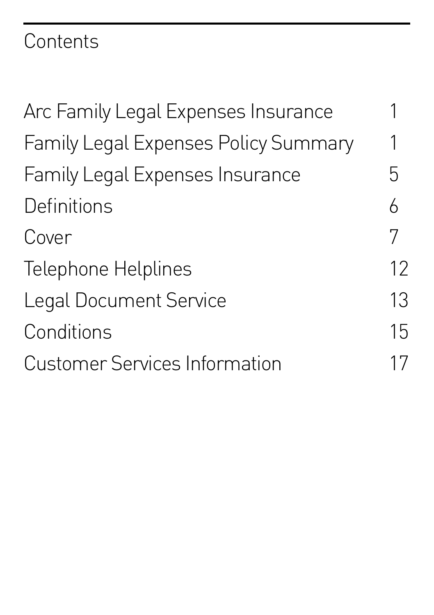# **Contents**

| Arc Family Legal Expenses Insurance    |    |
|----------------------------------------|----|
| Family Legal Expenses Policy Summary   | 1  |
| <b>Family Legal Expenses Insurance</b> | 5  |
| Definitions                            | 6  |
| Cover                                  | 7  |
| Telephone Helplines                    | 12 |
| <b>Legal Document Service</b>          | 13 |
| Conditions                             | 15 |
| <b>Customer Services Information</b>   | 17 |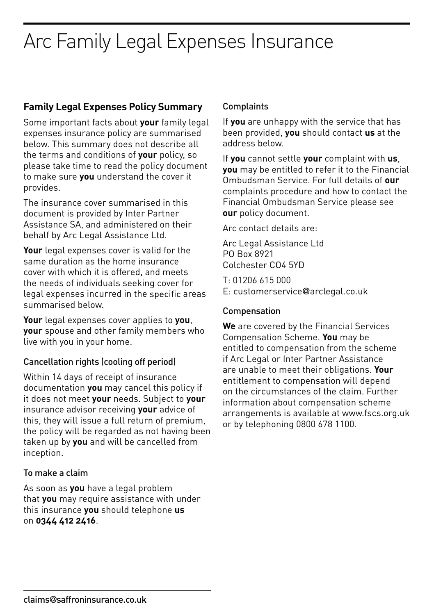## **Family Legal Expenses Policy Summary**

Some important facts about **your** family legal expenses insurance policy are summarised below. This summary does not describe all the terms and conditions of **your** policy, so please take time to read the policy document to make sure **you** understand the cover it provides.

The insurance cover summarised in this document is provided by Inter Partner Assistance SA, and administered on their behalf by Arc Legal Assistance Ltd.

**Your** legal expenses cover is valid for the same duration as the home insurance cover with which it is offered, and meets the needs of individuals seeking cover for legal expenses incurred in the specific areas summarised below.

**Your** legal expenses cover applies to **you**, **your** spouse and other family members who live with you in your home.

### Cancellation rights (cooling off period)

Within 14 days of receipt of insurance documentation **you** may cancel this policy if it does not meet **your** needs. Subject to **your** insurance advisor receiving **your** advice of this, they will issue a full return of premium, the policy will be regarded as not having been taken up by **you** and will be cancelled from inception.

### To make a claim

As soon as **you** have a legal problem that **you** may require assistance with under this insurance **you** should telephone **us** on **0344 412 2416**.

### Complaints

If **you** are unhappy with the service that has been provided, **you** should contact **us** at the address below.

If **you** cannot settle **your** complaint with **us**, **you** may be entitled to refer it to the Financial Ombudsman Service. For full details of **our** complaints procedure and how to contact the Financial Ombudsman Service please see **our** policy document.

Arc contact details are:

Arc Legal Assistance Ltd PO Box 8921 Colchester CO4 5YD

T: 01206 615 000 E: customerservice@arclegal.co.uk

### Compensation

**We** are covered by the Financial Services Compensation Scheme. **You** may be entitled to compensation from the scheme if Arc Legal or Inter Partner Assistance are unable to meet their obligations. **Your** entitlement to compensation will depend on the circumstances of the claim. Further information about compensation scheme arrangements is available at www.fscs.org.uk or by telephoning 0800 678 1100.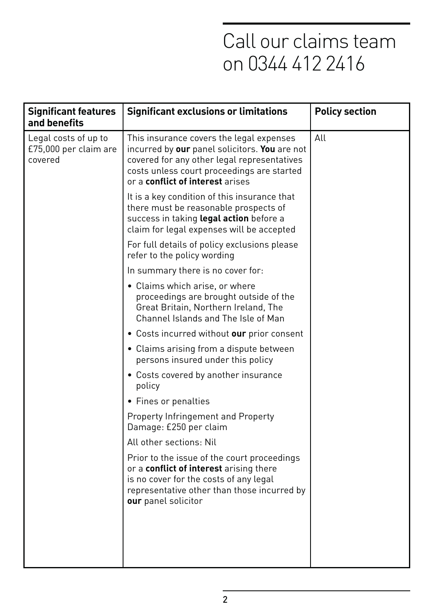| <b>Significant features</b><br>and benefits              | <b>Significant exclusions or limitations</b>                                                                                                                                                                               | <b>Policy section</b> |
|----------------------------------------------------------|----------------------------------------------------------------------------------------------------------------------------------------------------------------------------------------------------------------------------|-----------------------|
| Legal costs of up to<br>£75,000 per claim are<br>covered | This insurance covers the legal expenses<br>incurred by our panel solicitors. You are not<br>covered for any other legal representatives<br>costs unless court proceedings are started<br>or a conflict of interest arises | All                   |
|                                                          | It is a key condition of this insurance that<br>there must be reasonable prospects of<br>success in taking legal action before a<br>claim for legal expenses will be accepted                                              |                       |
|                                                          | For full details of policy exclusions please<br>refer to the policy wording                                                                                                                                                |                       |
|                                                          | In summary there is no cover for:                                                                                                                                                                                          |                       |
|                                                          | • Claims which arise, or where<br>proceedings are brought outside of the<br>Great Britain, Northern Ireland, The<br>Channel Islands and The Isle of Man                                                                    |                       |
|                                                          | • Costs incurred without our prior consent                                                                                                                                                                                 |                       |
|                                                          | • Claims arising from a dispute between<br>persons insured under this policy                                                                                                                                               |                       |
|                                                          | • Costs covered by another insurance<br>policy                                                                                                                                                                             |                       |
|                                                          | • Fines or penalties                                                                                                                                                                                                       |                       |
|                                                          | Property Infringement and Property<br>Damage: £250 per claim                                                                                                                                                               |                       |
|                                                          | All other sections: Nil                                                                                                                                                                                                    |                       |
|                                                          | Prior to the issue of the court proceedings<br>or a conflict of interest arising there<br>is no cover for the costs of any legal<br>representative other than those incurred by<br>our panel solicitor                     |                       |
|                                                          |                                                                                                                                                                                                                            |                       |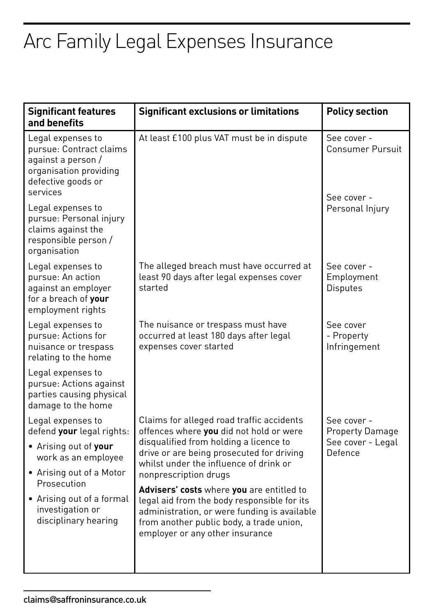| <b>Significant features</b><br>and benefits                                                                                    | <b>Significant exclusions or limitations</b>                                                                                                                                                                                                   | <b>Policy section</b>                        |
|--------------------------------------------------------------------------------------------------------------------------------|------------------------------------------------------------------------------------------------------------------------------------------------------------------------------------------------------------------------------------------------|----------------------------------------------|
| Legal expenses to<br>pursue: Contract claims<br>against a person /<br>organisation providing<br>defective goods or<br>services | At least £100 plus VAT must be in dispute                                                                                                                                                                                                      | See cover -<br><b>Consumer Pursuit</b>       |
| Legal expenses to<br>pursue: Personal injury<br>claims against the<br>responsible person /<br>organisation                     |                                                                                                                                                                                                                                                | See cover -<br>Personal Injury               |
| Legal expenses to<br>pursue: An action<br>against an employer<br>for a breach of your<br>employment rights                     | The alleged breach must have occurred at<br>least 90 days after legal expenses cover<br>started                                                                                                                                                | See cover -<br>Employment<br><b>Disputes</b> |
| Legal expenses to<br>pursue: Actions for<br>nuisance or trespass<br>relating to the home                                       | The nuisance or trespass must have<br>occurred at least 180 days after legal<br>expenses cover started                                                                                                                                         | See cover<br>- Property<br>Infringement      |
| Legal expenses to<br>pursue: Actions against<br>parties causing physical<br>damage to the home                                 |                                                                                                                                                                                                                                                |                                              |
| Legal expenses to<br>defend your legal rights:                                                                                 | Claims for alleged road traffic accidents<br>offences where you did not hold or were<br>disqualified from holding a licence to<br>drive or are being prosecuted for driving<br>whilst under the influence of drink or<br>nonprescription drugs | See cover -<br><b>Property Damage</b>        |
| • Arising out of your<br>work as an employee                                                                                   |                                                                                                                                                                                                                                                | See cover - Legal<br>Defence                 |
| • Arising out of a Motor<br>Prosecution                                                                                        |                                                                                                                                                                                                                                                |                                              |
| • Arising out of a formal<br>investigation or<br>disciplinary hearing                                                          | Advisers' costs where you are entitled to<br>legal aid from the body responsible for its<br>administration, or were funding is available<br>from another public body, a trade union,<br>employer or any other insurance                        |                                              |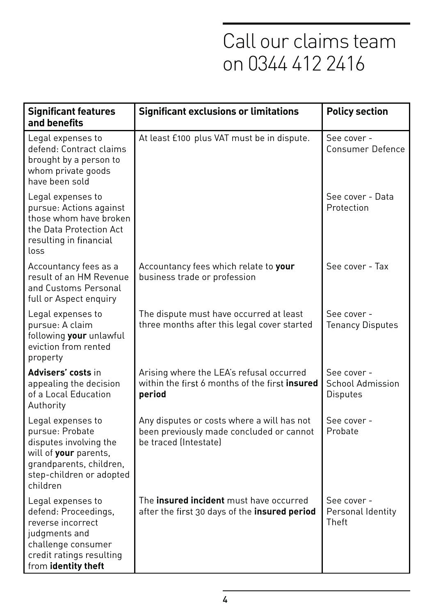| <b>Significant features</b><br>and benefits                                                                                                                | <b>Significant exclusions or limitations</b>                                                                    | <b>Policy section</b>                                     |
|------------------------------------------------------------------------------------------------------------------------------------------------------------|-----------------------------------------------------------------------------------------------------------------|-----------------------------------------------------------|
| Legal expenses to<br>defend: Contract claims<br>brought by a person to<br>whom private goods<br>have been sold                                             | At least £100 plus VAT must be in dispute.                                                                      | See cover -<br>Consumer Defence                           |
| Legal expenses to<br>pursue: Actions against<br>those whom have broken<br>the Data Protection Act<br>resulting in financial<br>loss                        |                                                                                                                 | See cover - Data<br>Protection                            |
| Accountancy fees as a<br>result of an HM Revenue<br>and Customs Personal<br>full or Aspect enquiry                                                         | Accountancy fees which relate to your<br>business trade or profession                                           | See cover - Tax                                           |
| Legal expenses to<br>pursue: A claim<br>following your unlawful<br>eviction from rented<br>property                                                        | The dispute must have occurred at least<br>three months after this legal cover started                          | See cover -<br><b>Tenancy Disputes</b>                    |
| Advisers' costs in<br>appealing the decision<br>of a Local Education<br>Authority                                                                          | Arising where the LEA's refusal occurred<br>within the first 6 months of the first insured<br>period            | See cover -<br><b>School Admission</b><br><b>Disputes</b> |
| Legal expenses to<br>pursue: Probate<br>disputes involving the<br>will of your parents,<br>grandparents, children,<br>step-children or adopted<br>children | Any disputes or costs where a will has not<br>been previously made concluded or cannot<br>be traced (Intestate) | See cover -<br>Probate                                    |
| Legal expenses to<br>defend: Proceedings,<br>reverse incorrect<br>judgments and<br>challenge consumer<br>credit ratings resulting<br>from identity theft   | The <b>insured incident</b> must have occurred<br>after the first 30 days of the insured period                 | See cover -<br>Personal Identity<br>Theft                 |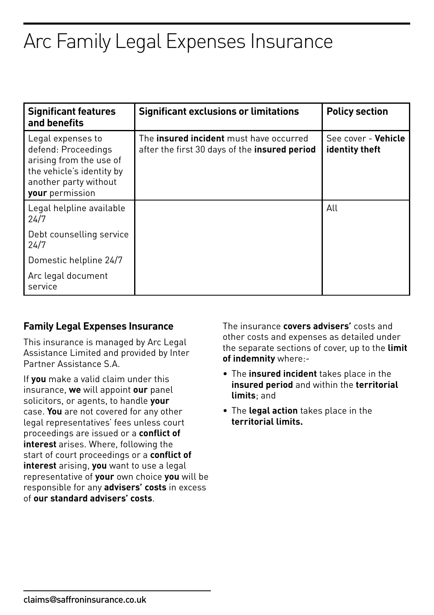| <b>Significant features</b><br>and benefits                                                                                                  | <b>Significant exclusions or limitations</b>                                                           | <b>Policy section</b>                 |
|----------------------------------------------------------------------------------------------------------------------------------------------|--------------------------------------------------------------------------------------------------------|---------------------------------------|
| Legal expenses to<br>defend: Proceedings<br>arising from the use of<br>the vehicle's identity by<br>another party without<br>your permission | The <b>insured incident</b> must have occurred<br>after the first 30 days of the <b>insured period</b> | See cover - Vehicle<br>identity theft |
| Legal helpline available<br>24/7                                                                                                             |                                                                                                        | All                                   |
| Debt counselling service<br>24/7                                                                                                             |                                                                                                        |                                       |
| Domestic helpline 24/7                                                                                                                       |                                                                                                        |                                       |
| Arc legal document<br>service                                                                                                                |                                                                                                        |                                       |

### **Family Legal Expenses Insurance**

This insurance is managed by Arc Legal Assistance Limited and provided by Inter Partner Assistance S.A.

If **you** make a valid claim under this insurance, **we** will appoint **our** panel solicitors, or agents, to handle **your** case. **You** are not covered for any other legal representatives' fees unless court proceedings are issued or a **conflict of interest** arises. Where, following the start of court proceedings or a **conflict of interest** arising, **you** want to use a legal representative of **your** own choice **you** will be responsible for any **advisers' costs** in excess of **our standard advisers' costs**.

The insurance **covers advisers'** costs and other costs and expenses as detailed under the separate sections of cover, up to the **limit of indemnity** where:-

- • The **insured incident** takes place in the **insured period** and within the **territorial limits**; and
- • The **legal action** takes place in the **territorial limits.**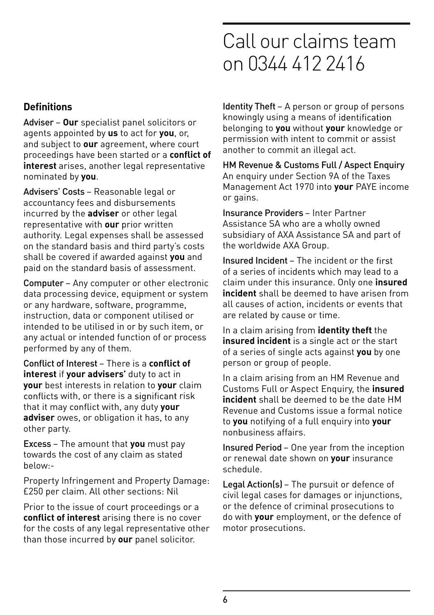## **Definitions**

Adviser – **Our** specialist panel solicitors or agents appointed by **us** to act for **you**, or, and subject to **our** agreement, where court proceedings have been started or a **conflict of interest** arises, another legal representative nominated by **you**.

Advisers' Costs – Reasonable legal or accountancy fees and disbursements incurred by the **adviser** or other legal representative with **our** prior written authority. Legal expenses shall be assessed on the standard basis and third party's costs shall be covered if awarded against **you** and paid on the standard basis of assessment.

Computer – Any computer or other electronic data processing device, equipment or system or any hardware, software, programme, instruction, data or component utilised or intended to be utilised in or by such item, or any actual or intended function of or process performed by any of them.

Conflict of Interest – There is a **conflict of interest** if **your advisers'** duty to act in **your** best interests in relation to **your** claim conflicts with, or there is a significant risk that it may conflict with, any duty your **adviser** owes, or obligation it has, to any other party.

Excess – The amount that **you** must pay towards the cost of any claim as stated below:-

Property Infringement and Property Damage: £250 per claim. All other sections: Nil

Prior to the issue of court proceedings or a **conflict of interest** arising there is no cover for the costs of any legal representative other than those incurred by **our** panel solicitor.

Identity Theft – A person or group of persons knowingly using a means of belonging to **you** without **your** knowledge or permission with intent to commit or assist another to commit an illegal act.

HM Revenue & Customs Full / Aspect Enquiry An enquiry under Section 9A of the Taxes Management Act 1970 into **your** PAYE income or gains.

Insurance Providers – Inter Partner Assistance SA who are a wholly owned subsidiary of AXA Assistance SA and part of the worldwide AXA Group.

Insured Incident – The incident or the of a series of incidents which may lead to a claim under this insurance. Only one **insured incident** shall be deemed to have arisen from all causes of action, incidents or events that are related by cause or time.

In a claim arising from **identity theft** the **insured incident** is a single act or the start of a series of single acts against **you** by one person or group of people.

In a claim arising from an HM Revenue and Customs Full or Aspect Enquiry, the **insured incident** shall be deemed to be the date HM Revenue and Customs issue a formal notice to **you** notifying of a full enquiry into **your** nonbusiness affairs.

Insured Period – One year from the inception or renewal date shown on **your** insurance schedule.

Legal Action(s) – The pursuit or defence of civil legal cases for damages or injunctions, or the defence of criminal prosecutions to do with **your** employment, or the defence of motor prosecutions.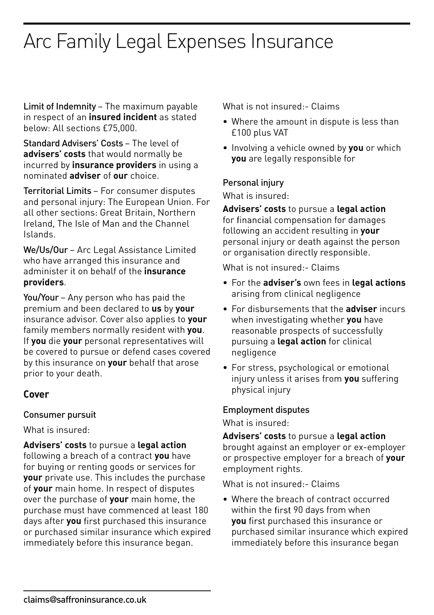Limit of Indemnity – The maximum payable in respect of an **insured incident** as stated below: All sections £75,000.

Standard Advisers' Costs – The level of **advisers' costs** that would normally be incurred by **insurance providers** in using a nominated **adviser** of **our** choice.

Territorial Limits – For consumer disputes and personal injury: The European Union. For all other sections: Great Britain, Northern Ireland, The Isle of Man and the Channel Islands.

We/Us/Our – Arc Legal Assistance Limited who have arranged this insurance and administer it on behalf of the **insurance providers**.

You/Your – Any person who has paid the premium and been declared to **us** by **your** insurance advisor. Cover also applies to **your** family members normally resident with **you**. If **you** die **your** personal representatives will be covered to pursue or defend cases covered by this insurance on **your** behalf that arose prior to your death.

### **Cover**

### Consumer pursuit

What is insured:

**Advisers' costs** to pursue a **legal action** following a breach of a contract **you** have for buying or renting goods or services for **your** private use. This includes the purchase of **your** main home. In respect of disputes over the purchase of **your** main home, the purchase must have commenced at least 180 days after **you** first purchased this insurance or purchased similar insurance which expired immediately before this insurance began.

What is not insured:- Claims

- Where the amount in dispute is less than £100 plus VAT
- Involving a vehicle owned by **you** or which **you** are legally responsible for

### Personal injury

What is insured:

**Advisers' costs** to pursue a **legal action** for financial compensation for damages following an accident resulting in **your** personal injury or death against the person or organisation directly responsible.

What is not insured:- Claims

- For the **adviser's** own fees in **legal actions** arising from clinical negligence
- For disbursements that the **adviser** incurs when investigating whether **you** have reasonable prospects of successfully pursuing a **legal action** for clinical negligence
- For stress, psychological or emotional injury unless it arises from **you** suffering physical injury

### Employment disputes

What is insured:

**Advisers' costs** to pursue a **legal action** brought against an employer or ex-employer or prospective employer for a breach of **your** employment rights.

What is not insured:- Claims

• Where the breach of contract occurred within the first 90 days from when **you** first purchased this insurance or purchased similar insurance which expired immediately before this insurance began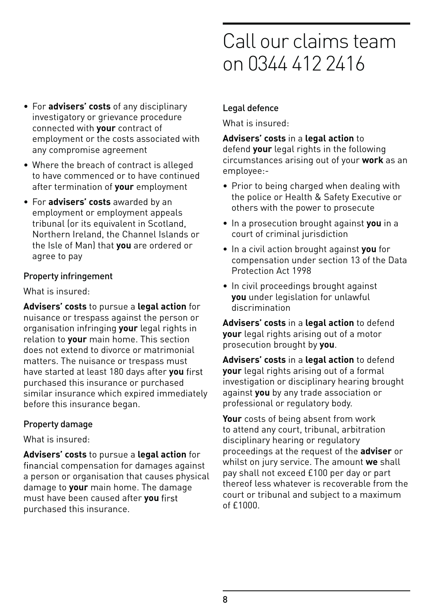#### • For **advisers' costs** of any disciplinary investigatory or grievance procedure connected with **your** contract of employment or the costs associated with any compromise agreement

- Where the breach of contract is alleged to have commenced or to have continued after termination of **your** employment
- For **advisers' costs** awarded by an employment or employment appeals tribunal (or its equivalent in Scotland, Northern Ireland, the Channel Islands or the Isle of Man) that **you** are ordered or agree to pay

### Property infringement

What is insured:

**Advisers' costs** to pursue a **legal action** for nuisance or trespass against the person or organisation infringing **your** legal rights in relation to **your** main home. This section does not extend to divorce or matrimonial matters. The nuisance or trespass must have started at least 180 days after **you** purchased this insurance or purchased similar insurance which expired immediately before this insurance began.

### Property damage

What is insured:

**Advisers' costs** to pursue a **legal action** for financial compensation for damages against a person or organisation that causes physical damage to **your** main home. The damage must have been caused after **you**  purchased this insurance.

# Call our claims team on 0344 412 2416

### Legal defence

What is insured:

**Advisers' costs** in a **legal action** to defend **your** legal rights in the following circumstances arising out of your **work** as an employee:-

- Prior to being charged when dealing with the police or Health & Safety Executive or others with the power to prosecute
- In a prosecution brought against **you** in a court of criminal jurisdiction
- In a civil action brought against **you** for compensation under section 13 of the Data Protection Act 1998
- In civil proceedings brought against **you** under legislation for unlawful discrimination

**Advisers' costs** in a **legal action** to defend **your** legal rights arising out of a motor prosecution brought by **you**.

**Advisers' costs** in a **legal action** to defend **your** legal rights arising out of a formal investigation or disciplinary hearing brought against **you** by any trade association or professional or regulatory body.

**Your** costs of being absent from work to attend any court, tribunal, arbitration disciplinary hearing or regulatory proceedings at the request of the **adviser** or whilst on jury service. The amount **we** shall pay shall not exceed £100 per day or part thereof less whatever is recoverable from the court or tribunal and subject to a maximum  $of$   $f1000$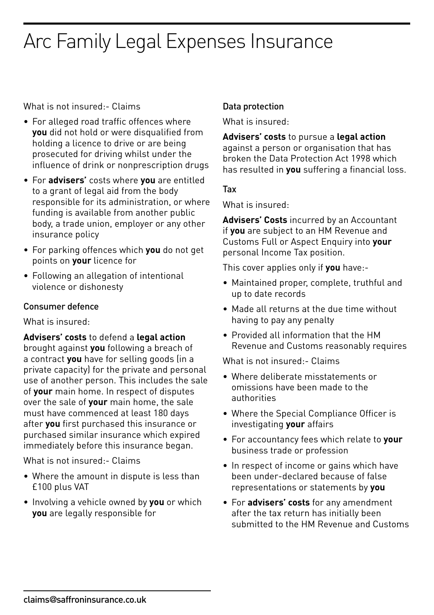What is not insured:- Claims

- For alleged road traffic offences where **you** did not hold or were disqualified from holding a licence to drive or are being prosecuted for driving whilst under the influence of drink or nonprescription drugs
- • For **advisers'** costs where **you** are entitled to a grant of legal aid from the body responsible for its administration, or where funding is available from another public body, a trade union, employer or any other insurance policy
- • For parking offences which **you** do not get points on **your** licence for
- Following an allegation of intentional violence or dishonesty

### Consumer defence

What is insured:

**Advisers' costs** to defend a **legal action** brought against **you** following a breach of a contract **you** have for selling goods (in a private capacity) for the private and personal use of another person. This includes the sale of **your** main home. In respect of disputes over the sale of **your** main home, the sale must have commenced at least 180 days after **you** first purchased this insurance or purchased similar insurance which expired immediately before this insurance began.

What is not insured:- Claims

- Where the amount in dispute is less than £100 plus VAT
- • Involving a vehicle owned by **you** or which **you** are legally responsible for

## Data protection

What is insured:

**Advisers' costs** to pursue a **legal action** against a person or organisation that has broken the Data Protection Act 1998 which has resulted in **you** suffering a financial loss.

### Tax

What is insured:

**Advisers' Costs** incurred by an Accountant if **you** are subject to an HM Revenue and Customs Full or Aspect Enquiry into **your** personal Income Tax position.

This cover applies only if **you** have:-

- • Maintained proper, complete, truthful and up to date records
- Made all returns at the due time without having to pay any penalty
- • Provided all information that the HM Revenue and Customs reasonably requires

What is not insured:- Claims

- • Where deliberate misstatements or omissions have been made to the authorities
- Where the Special Compliance Officer is investigating **your** affairs
- • For accountancy fees which relate to **your** business trade or profession
- In respect of income or gains which have been under-declared because of false representations or statements by **you**
- • For **advisers' costs** for any amendment after the tax return has initially been submitted to the HM Revenue and Customs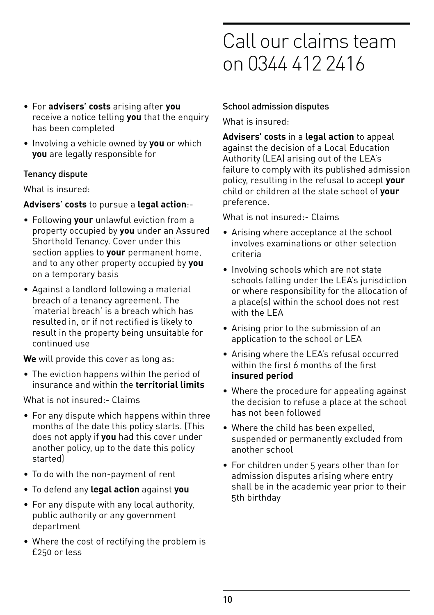- For **advisers' costs** arising after **you** receive a notice telling **you** that the enquiry has been completed
- Involving a vehicle owned by **you** or which **you** are legally responsible for

### Tenancy dispute

What is insured:

### **Advisers' costs** to pursue a **legal action**:-

- Following **your** unlawful eviction from a property occupied by **you** under an Assured Shorthold Tenancy. Cover under this section applies to **your** permanent home, and to any other property occupied by **you** on a temporary basis
- Against a landlord following a material breach of a tenancy agreement. The 'material breach' is a breach which has resulted in, or if not rectified is likely to result in the property being unsuitable for continued use

**We** will provide this cover as long as:

• The eviction happens within the period of insurance and within the **territorial limits**

What is not insured:- Claims

- For any dispute which happens within three months of the date this policy starts. (This does not apply if **you** had this cover under another policy, up to the date this policy started)
- To do with the non-payment of rent
- To defend any **legal action** against **you**
- For any dispute with any local authority, public authority or any government department
- Where the cost of rectifying the problem is £250 or less

# Call our claims team on 0344 412 2416

### School admission disputes

What is insured:

**Advisers' costs** in a **legal action** to appeal against the decision of a Local Education Authority (LEA) arising out of the LEA's failure to comply with its published admission policy, resulting in the refusal to accept **your** child or children at the state school of **your** preference.

What is not insured:- Claims

- Arising where acceptance at the school involves examinations or other selection criteria
- Involving schools which are not state schools falling under the LEA's jurisdiction or where responsibility for the allocation of a place(s) within the school does not rest with the LEA
- Arising prior to the submission of an application to the school or LEA
- Arising where the LEA's refusal occurred within the first  $6$  months of the first **insured period**
- Where the procedure for appealing against the decision to refuse a place at the school has not been followed
- Where the child has been expelled, suspended or permanently excluded from another school
- For children under 5 years other than for admission disputes arising where entry shall be in the academic year prior to their 5th birthday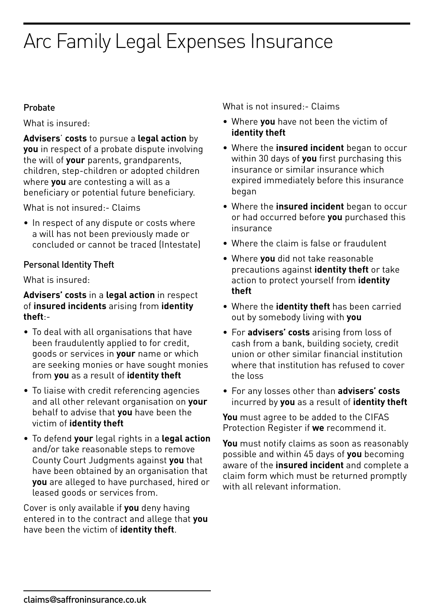### Probate

What is insured:

**Advisers**' **costs** to pursue a **legal action** by **you** in respect of a probate dispute involving the will of **your** parents, grandparents, children, step-children or adopted children where **you** are contesting a will as a beneficiary or potential future beneficiary.

What is not insured:- Claims

• In respect of any dispute or costs where a will has not been previously made or concluded or cannot be traced (Intestate)

### Personal Identity Theft

What is insured:

**Advisers' costs** in a **legal action** in respect of **insured incidents** arising from **identity theft**:-

- To deal with all organisations that have been fraudulently applied to for credit, goods or services in **your** name or which are seeking monies or have sought monies from **you** as a result of **identity theft**
- To liaise with credit referencing agencies and all other relevant organisation on **your** behalf to advise that **you** have been the victim of **identity theft**
- • To defend **your** legal rights in a **legal action** and/or take reasonable steps to remove County Court Judgments against **you** that have been obtained by an organisation that **you** are alleged to have purchased, hired or leased goods or services from.

Cover is only available if **you** deny having entered in to the contract and allege that **you** have been the victim of **identity theft**.

What is not insured:- Claims

- • Where **you** have not been the victim of **identity theft**
- • Where the **insured incident** began to occur within 30 days of **you** first purchasing this insurance or similar insurance which expired immediately before this insurance began
- • Where the **insured incident** began to occur or had occurred before **you** purchased this insurance
- Where the claim is false or fraudulent
- • Where **you** did not take reasonable precautions against **identity theft** or take action to protect yourself from **identity theft**
- • Where the **identity theft** has been carried out by somebody living with **you**
- • For **advisers' costs** arising from loss of cash from a bank, building society, credit union or other similar financial institution where that institution has refused to cover the loss
- • For any losses other than **advisers' costs** incurred by **you** as a result of **identity theft**

**You** must agree to be added to the CIFAS Protection Register if **we** recommend it.

**You** must notify claims as soon as reasonably possible and within 45 days of **you** becoming aware of the **insured incident** and complete a claim form which must be returned promptly with all relevant information.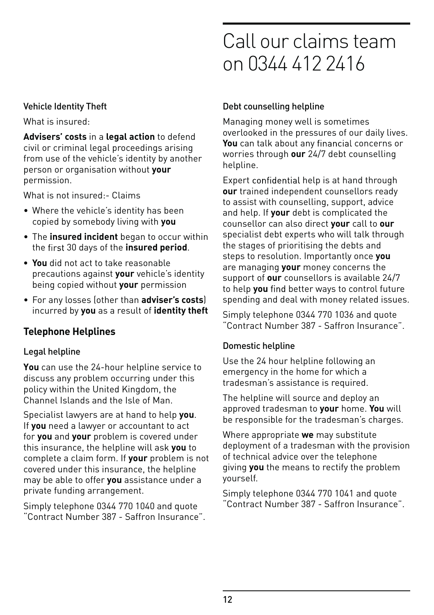### Vehicle Identity Theft

What is insured:

**Advisers' costs** in a **legal action** to defend civil or criminal legal proceedings arising from use of the vehicle's identity by another person or organisation without **your** permission.

What is not insured:- Claims

- Where the vehicle's identity has been copied by somebody living with **you**
- The **insured incident** began to occur within the 30 days of the **insured period**.
- **You** did not act to take reasonable precautions against **your** vehicle's identity being copied without **your** permission
- For any losses (other than **adviser's costs**) incurred by **you** as a result of **identity theft**

### **Telephone Helplines**

### Legal helpline

**You** can use the 24-hour helpline service to discuss any problem occurring under this policy within the United Kingdom, the Channel Islands and the Isle of Man.

Specialist lawyers are at hand to help **you**. If **you** need a lawyer or accountant to act for **you** and **your** problem is covered under this insurance, the helpline will ask **you** to complete a claim form. If **your** problem is not covered under this insurance, the helpline may be able to offer **you** assistance under a private funding arrangement.

Simply telephone 0344 770 1040 and quote "Contract Number 387 - Saffron Insurance".

# Call our claims team on 0344 412 2416

### Debt counselling helpline

Managing money well is sometimes overlooked in the pressures of our daily lives. **You** can talk about any financial concerns or worries through **our** 24/7 debt counselling helpline.

Expert confidential help is at hand through **our** trained independent counsellors ready to assist with counselling, support, advice and help. If **your** debt is complicated the counsellor can also direct **your** call to **our** specialist debt experts who will talk through the stages of prioritising the debts and steps to resolution. Importantly once **you** are managing **your** money concerns the support of **our** counsellors is available 24/7 to help you find better ways to control future spending and deal with money related issues.

Simply telephone 0344 770 1036 and quote "Contract Number 387 - Saffron Insurance".

### Domestic helpline

Use the 24 hour helpline following an emergency in the home for which a tradesman's assistance is required.

The helpline will source and deploy an approved tradesman to **your** home. **You** will be responsible for the tradesman's charges.

Where appropriate **we** may substitute deployment of a tradesman with the provision of technical advice over the telephone giving **you** the means to rectify the problem yourself.

Simply telephone 0344 770 1041 and quote "Contract Number 387 - Saffron Insurance".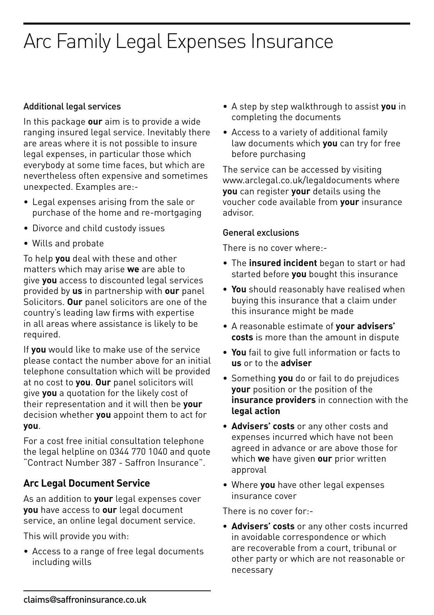### Additional legal services

In this package **our** aim is to provide a wide ranging insured legal service. Inevitably there are areas where it is not possible to insure legal expenses, in particular those which everybody at some time faces, but which are nevertheless often expensive and sometimes unexpected. Examples are:-

- Legal expenses arising from the sale or purchase of the home and re-mortgaging
- Divorce and child custody issues
- Wills and probate

To help **you** deal with these and other matters which may arise **we** are able to give **you** access to discounted legal services provided by **us** in partnership with **our** panel Solicitors. **Our** panel solicitors are one of the country's leading law firms with expertise in all areas where assistance is likely to be required.

If **you** would like to make use of the service please contact the number above for an initial telephone consultation which will be provided at no cost to **you**. **Our** panel solicitors will give **you** a quotation for the likely cost of their representation and it will then be **your** decision whether **you** appoint them to act for **you**.

For a cost free initial consultation telephone the legal helpline on 0344 770 1040 and quote "Contract Number 387 - Saffron Insurance".

### **Arc Legal Document Service**

As an addition to **your** legal expenses cover **you** have access to **our** legal document service, an online legal document service.

This will provide you with:

• Access to a range of free legal documents including wills

- A step by step walkthrough to assist **you** in completing the documents
- Access to a variety of additional family law documents which **you** can try for free before purchasing

The service can be accessed by visiting www.arclegal.co.uk/legaldocuments where **you** can register **your** details using the voucher code available from **your** insurance advisor.

#### General exclusions

There is no cover where:-

- The **insured incident** began to start or had started before **you** bought this insurance
- **You** should reasonably have realised when buying this insurance that a claim under this insurance might be made
- A reasonable estimate of **your advisers' costs** is more than the amount in dispute
- **You** fail to give full information or facts to **us** or to the **adviser**
- Something **you** do or fail to do prejudices **your** position or the position of the **insurance providers** in connection with the **legal action**
- **Advisers' costs** or any other costs and expenses incurred which have not been agreed in advance or are above those for which **we** have given **our** prior written approval
- Where **you** have other legal expenses insurance cover

There is no cover for:-

**• Advisers' costs** or any other costs incurred in avoidable correspondence or which are recoverable from a court, tribunal or other party or which are not reasonable or necessary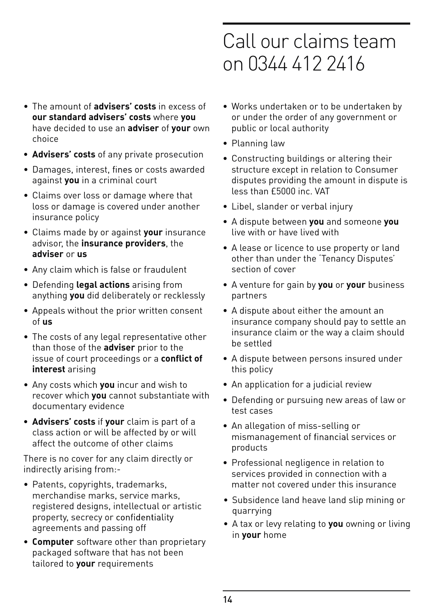- The amount of **advisers' costs** in excess of **our standard advisers' costs** where **you** have decided to use an **adviser** of **your** own choice
- **Advisers' costs** of any private prosecution
- Damages, interest, fines or costs awarded against **you** in a criminal court
- Claims over loss or damage where that loss or damage is covered under another insurance policy
- Claims made by or against **your** insurance advisor, the **insurance providers**, the **adviser** or **us**
- Any claim which is false or fraudulent
- Defending **legal actions** arising from anything **you** did deliberately or recklessly
- Appeals without the prior written consent of **us**
- The costs of any legal representative other than those of the **adviser** prior to the issue of court proceedings or a **conflict of interest** arising
- Any costs which **you** incur and wish to recover which **you** cannot substantiate with documentary evidence
- **Advisers' costs** if **your** claim is part of a class action or will be affected by or will affect the outcome of other claims

There is no cover for any claim directly or indirectly arising from:-

- Patents, copyrights, trademarks, merchandise marks, service marks, registered designs, intellectual or artistic property, secrecy or confidentiality agreements and passing off
- **Computer** software other than proprietary packaged software that has not been tailored to **your** requirements
- Works undertaken or to be undertaken by or under the order of any government or public or local authority
- Planning law
- Constructing buildings or altering their structure except in relation to Consumer disputes providing the amount in dispute is less than £5000 inc. VAT
- Libel, slander or verbal injury
- A dispute between **you** and someone **you** live with or have lived with
- A lease or licence to use property or land other than under the 'Tenancy Disputes' section of cover
- A venture for gain by **you** or **your** business partners
- A dispute about either the amount an insurance company should pay to settle an insurance claim or the way a claim should be settled
- A dispute between persons insured under this policy
- An application for a judicial review
- Defending or pursuing new areas of law or test cases
- An allegation of miss-selling or mismanagement of financial services or products
- Professional negligence in relation to services provided in connection with a matter not covered under this insurance
- Subsidence land heave land slip mining or quarrying
- A tax or levy relating to **you** owning or living in **your** home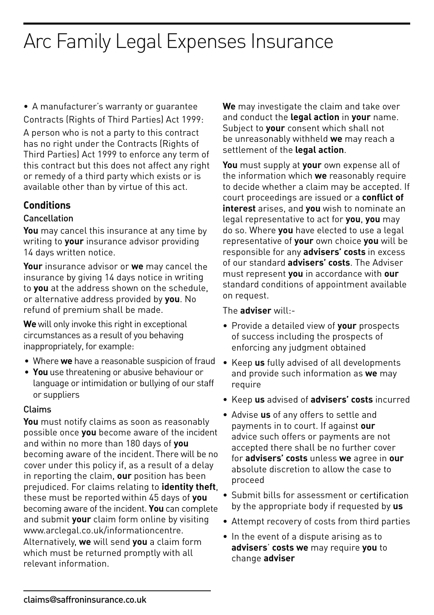• A manufacturer's warranty or guarantee Contracts (Rights of Third Parties) Act 1999:

A person who is not a party to this contract has no right under the Contracts (Rights of Third Parties) Act 1999 to enforce any term of this contract but this does not affect any right or remedy of a third party which exists or is available other than by virtue of this act.

### **Conditions**

#### Cancellation

**You** may cancel this insurance at any time by writing to **your** insurance advisor providing 14 days written notice.

**Your** insurance advisor or **we** may cancel the insurance by giving 14 days notice in writing to **you** at the address shown on the schedule, or alternative address provided by **you**. No refund of premium shall be made.

**We** will only invoke this right in exceptional circumstances as a result of you behaving inappropriately, for example:

- Where **we** have a reasonable suspicion of fraud
- **You** use threatening or abusive behaviour or language or intimidation or bullying of our staff or suppliers

### Claims

**You** must notify claims as soon as reasonably possible once **you** become aware of the incident and within no more than 180 days of **you**  becoming aware of the incident. There will be no cover under this policy if, as a result of a delay in reporting the claim, **our** position has been prejudiced. For claims relating to **identity theft**, these must be reported within 45 days of **you** becoming aware of the incident. **You** can complete and submit **your** claim form online by visiting www.arclegal.co.uk/informationcentre. Alternatively, **we** will send **you** a claim form which must be returned promptly with all relevant information.

**We** may investigate the claim and take over and conduct the **legal action** in **your** name. Subject to **your** consent which shall not be unreasonably withheld **we** may reach a settlement of the **legal action**.

**You** must supply at **your** own expense all of the information which **we** reasonably require to decide whether a claim may be accepted. If court proceedings are issued or a **conflict of interest** arises, and **you** wish to nominate an legal representative to act for **you**, **you** may do so. Where **you** have elected to use a legal representative of **your** own choice **you** will be responsible for any **advisers' costs** in excess of our standard **advisers' costs**. The Adviser must represent **you** in accordance with **our** standard conditions of appointment available on request.

The **adviser** will:-

- Provide a detailed view of **your** prospects of success including the prospects of enforcing any judgment obtained
- Keep **us** fully advised of all developments and provide such information as **we** may require
- Keep **us** advised of **advisers' costs** incurred
- Advise **us** of any offers to settle and payments in to court. If against **our** advice such offers or payments are not accepted there shall be no further cover for **advisers' costs** unless **we** agree in **our** absolute discretion to allow the case to proceed
- Submit bills for assessment or certification by the appropriate body if requested by **us**
- Attempt recovery of costs from third parties
- In the event of a dispute arising as to **advisers**' **costs we** may require **you** to change **adviser**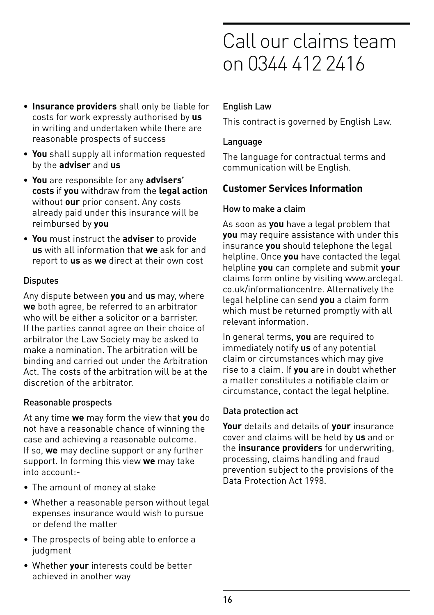- **Insurance providers** shall only be liable for costs for work expressly authorised by **us** in writing and undertaken while there are reasonable prospects of success
- **You** shall supply all information requested by the **adviser** and **us**
- **You** are responsible for any **advisers' costs** if **you** withdraw from the **legal action** without **our** prior consent. Any costs already paid under this insurance will be reimbursed by **you**
- **You** must instruct the **adviser** to provide **us** with all information that **we** ask for and report to **us** as **we** direct at their own cost

### **Disputes**

Any dispute between **you** and **us** may, where **we** both agree, be referred to an arbitrator who will be either a solicitor or a barrister. If the parties cannot agree on their choice of arbitrator the Law Society may be asked to make a nomination. The arbitration will be binding and carried out under the Arbitration Act. The costs of the arbitration will be at the discretion of the arbitrator.

### Reasonable prospects

At any time **we** may form the view that **you** do not have a reasonable chance of winning the case and achieving a reasonable outcome. If so, **we** may decline support or any further support. In forming this view **we** may take into account:-

- The amount of money at stake
- Whether a reasonable person without legal expenses insurance would wish to pursue or defend the matter
- The prospects of being able to enforce a iudament
- Whether **your** interests could be better achieved in another way

### English Law

This contract is governed by English Law.

### Language

The language for contractual terms and communication will be English.

## **Customer Services Information**

### How to make a claim

As soon as **you** have a legal problem that **you** may require assistance with under this insurance **you** should telephone the legal helpline. Once **you** have contacted the legal helpline **you** can complete and submit **your** claims form online by visiting www.arclegal. co.uk/informationcentre. Alternatively the legal helpline can send **you** a claim form which must be returned promptly with all relevant information.

In general terms, **you** are required to immediately notify **us** of any potential claim or circumstances which may give rise to a claim. If **you** are in doubt whether a matter constitutes a notifiable claim or circumstance, contact the legal helpline.

### Data protection act

**Your** details and details of **your** insurance cover and claims will be held by **us** and or the **insurance providers** for underwriting, processing, claims handling and fraud prevention subject to the provisions of the Data Protection Act 1998.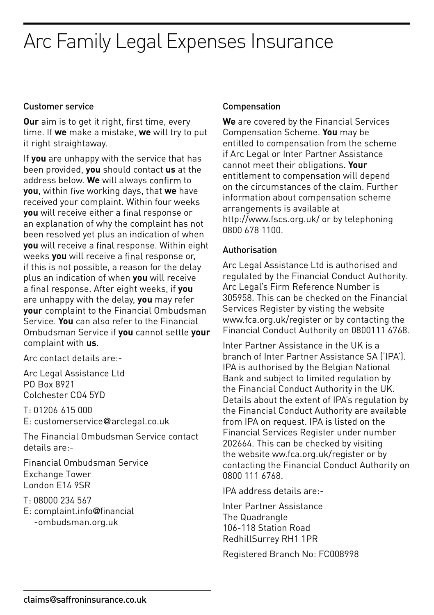#### Customer service

**Our** aim is to get it right, first time, every time. If **we** make a mistake, **we** will try to put it right straightaway.

If **you** are unhappy with the service that has been provided, **you** should contact **us** at the address below. We will always confirm to **you**, within five working days, that we have received your complaint. Within four weeks **you** will receive either a final response or an explanation of why the complaint has not been resolved yet plus an indication of when **you** will receive a final response. Within eight weeks **you** will receive a final response or, if this is not possible, a reason for the delay plus an indication of when **you** will receive a final response. After eight weeks, if you are unhappy with the delay, **you** may refer **your** complaint to the Financial Ombudsman Service. **You** can also refer to the Financial Ombudsman Service if **you** cannot settle **your** complaint with **us**.

Arc contact details are:-

Arc Legal Assistance Ltd PO Box 8921 Colchester CO4 5YD

T: 01206 615 000 E: customerservice@arclegal.co.uk

The Financial Ombudsman Service contact details are:-

Financial Ombudsman Service Exchange Tower London E14 9SR

T: 08000 234 567

E: complaint.info@financial -ombudsman.org.uk

#### Compensation

**We** are covered by the Financial Services Compensation Scheme. **You** may be entitled to compensation from the scheme if Arc Legal or Inter Partner Assistance cannot meet their obligations. **Your** entitlement to compensation will depend on the circumstances of the claim. Further information about compensation scheme arrangements is available at http://www.fscs.org.uk/ or by telephoning 0800 678 1100.

#### Authorisation

Arc Legal Assistance Ltd is authorised and regulated by the Financial Conduct Authority. Arc Legal's Firm Reference Number is 305958. This can be checked on the Financial Services Register by visting the website www.fca.org.uk/register or by contacting the Financial Conduct Authority on 0800111 6768.

Inter Partner Assistance in the UK is a branch of Inter Partner Assistance SA ('IPA'). IPA is authorised by the Belgian National Bank and subject to limited regulation by the Financial Conduct Authority in the UK. Details about the extent of IPA's regulation by the Financial Conduct Authority are available from IPA on request. IPA is listed on the Financial Services Register under number 202664. This can be checked by visiting the website ww.fca.org.uk/register or by contacting the Financial Conduct Authority on 0800 111 6768.

IPA address details are:-

Inter Partner Assistance The Quadrangle 106-118 Station Road RedhillSurrey RH1 1PR

Registered Branch No: FC008998